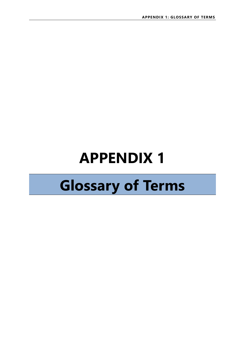## **APPENDIX 1**

## **Glossary of Terms**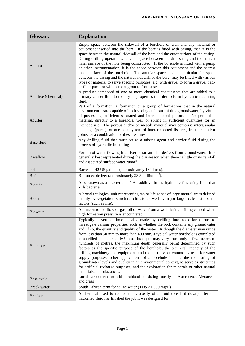| <b>Glossary</b>     | <b>Explanation</b>                                                                                                                                                                                                                                                                                                                                                                                                                                                                                                                                                                                                                                                                                                                                                                                                                                                                                                                                               |
|---------------------|------------------------------------------------------------------------------------------------------------------------------------------------------------------------------------------------------------------------------------------------------------------------------------------------------------------------------------------------------------------------------------------------------------------------------------------------------------------------------------------------------------------------------------------------------------------------------------------------------------------------------------------------------------------------------------------------------------------------------------------------------------------------------------------------------------------------------------------------------------------------------------------------------------------------------------------------------------------|
| Annulus             | Empty space between the sidewall of a borehole or well and any material or<br>equipment inserted into the bore. If the bore is fitted with casing, then it is the<br>space between the natural sidewall of the bore and the outer surface of the casing.<br>During drilling operations, it is the space between the drill string and the nearest<br>inner surface of the hole being constructed. If the borehole is fitted with a pump<br>or other instrumentation, it is the space between this equipment and the nearest<br>inner surface of the borehole. The annular space, and in particular the space<br>between the casing and the natural sidewall of the bore, may be filled with various<br>types of material to serve specific purposes, e.g. with gravel to form a gravel pack<br>or filter pack, or with cement grout to form a seal.                                                                                                               |
| Additive (chemical) | A product composed of one or more chemical constituents that are added to a<br>primary carrier fluid to modify its properties in order to form hydraulic fracturing<br>fluid.                                                                                                                                                                                                                                                                                                                                                                                                                                                                                                                                                                                                                                                                                                                                                                                    |
| Aquifer             | Part of a formation, a formation or a group of formations that in the natural<br>environment is/are capable of both storing and transmitting groundwater, by virtue<br>of possessing sufficient saturated and interconnected porous and/or permeable<br>material, directly to a borehole, well or spring in sufficient quantities for an<br>intended use. The porous and/or permeable material may comprise intergranular<br>openings (pores), or one or a system of interconnected fissures, fractures and/or<br>joints, or a combination of these features.                                                                                                                                                                                                                                                                                                                                                                                                    |
| Base fluid          | Any drilling fluid that must act as a mixing agent and carrier fluid during the<br>process of hydraulic fracturing.                                                                                                                                                                                                                                                                                                                                                                                                                                                                                                                                                                                                                                                                                                                                                                                                                                              |
| Baseflow            | Portion of water flowing in a river or stream that derives from groundwater. It is<br>generally best represented during the dry season when there is little or no rainfall<br>and associated surface water runoff.                                                                                                                                                                                                                                                                                                                                                                                                                                                                                                                                                                                                                                                                                                                                               |
| bbl                 | Barrel — 42 US gallons (approximately 160 litres).                                                                                                                                                                                                                                                                                                                                                                                                                                                                                                                                                                                                                                                                                                                                                                                                                                                                                                               |
| <b>Bcf</b>          | Billion cubic feet (approximately $28.3$ million $m3$ ).                                                                                                                                                                                                                                                                                                                                                                                                                                                                                                                                                                                                                                                                                                                                                                                                                                                                                                         |
| <b>Biocide</b>      | Also known as a "bactericide." An additive in the hydraulic fracturing fluid that<br>kills bacteria.                                                                                                                                                                                                                                                                                                                                                                                                                                                                                                                                                                                                                                                                                                                                                                                                                                                             |
| Biome               | A broad ecological unit representing major life zones of large natural areas defined<br>mainly by vegetation structure, climate as well as major large-scale disturbance<br>factors (such as fire).                                                                                                                                                                                                                                                                                                                                                                                                                                                                                                                                                                                                                                                                                                                                                              |
| <b>Blowout</b>      | An uncontrolled flow of gas, oil or water from a well during drilling caused when<br>high formation pressure is encountered.                                                                                                                                                                                                                                                                                                                                                                                                                                                                                                                                                                                                                                                                                                                                                                                                                                     |
| Borehole            | Typically a vertical hole usually made by drilling into rock formations to<br>investigate various properties, such as whether the rock contains any groundwater<br>and, if so, the quantity and quality of the water. Although the diameter may range<br>from less than 50 mm to more than 400 mm, a typical water borehole is completed<br>at a drilled diameter of 165 mm. Its depth may vary from only a few metres to<br>hundreds of metres, the maximum depth generally being determined by such<br>factors as the specific purpose of the borehole, the technical capacity of the<br>drilling machinery and equipment, and the cost. Most commonly used for water<br>supply purposes, other applications of a borehole include the monitoring of<br>groundwater levels and quality in an environmental context, to serve as structures<br>for artificial recharge purposes, and the exploration for minerals or other natural<br>materials and substances. |
| Bossieveld          | Local karoo term for arid shrubland consisting mostly of Asteraceae, Aizoaceae<br>and grass                                                                                                                                                                                                                                                                                                                                                                                                                                                                                                                                                                                                                                                                                                                                                                                                                                                                      |
| Brack water         | South African term for saline water (TDS $>1000$ mg/L)                                                                                                                                                                                                                                                                                                                                                                                                                                                                                                                                                                                                                                                                                                                                                                                                                                                                                                           |
| <b>Breaker</b>      | A chemical used to reduce the viscosity of a fluid (break it down) after the<br>thickened fluid has finished the job it was designed for.                                                                                                                                                                                                                                                                                                                                                                                                                                                                                                                                                                                                                                                                                                                                                                                                                        |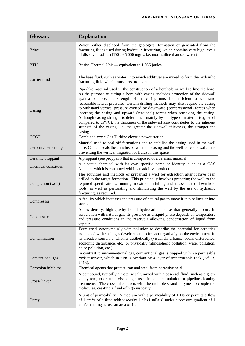| <b>Glossary</b>      | <b>Explanation</b>                                                                                                                                                                                                                                                                                                                                                                                                                                                                                                                                                                                                                                                                                                                                                                         |
|----------------------|--------------------------------------------------------------------------------------------------------------------------------------------------------------------------------------------------------------------------------------------------------------------------------------------------------------------------------------------------------------------------------------------------------------------------------------------------------------------------------------------------------------------------------------------------------------------------------------------------------------------------------------------------------------------------------------------------------------------------------------------------------------------------------------------|
| <b>Brine</b>         | Water (either displaced from the geological formation or generated from the<br>fracturing fluids used during hydraulic fracturing) which contains very high levels<br>of dissolved solids (TDS $>35000$ mg/L, i.e. more saline than sea water)                                                                                                                                                                                                                                                                                                                                                                                                                                                                                                                                             |
| <b>BTU</b>           | British Thermal Unit — equivalent to 1 055 joules.                                                                                                                                                                                                                                                                                                                                                                                                                                                                                                                                                                                                                                                                                                                                         |
| Carrier fluid        | The base fluid, such as water, into which additives are mixed to form the hydraulic<br>fracturing fluid which transports proppant.                                                                                                                                                                                                                                                                                                                                                                                                                                                                                                                                                                                                                                                         |
| Casing               | Pipe-like material used in the construction of a borehole or well to line the bore.<br>As the purpose of fitting a bore with casing includes protection of the sidewall<br>against collapse, the strength of the casing must be sufficient to withstand<br>reasonable lateral pressure. Certain drilling methods may also require the casing<br>to withstand vertical pressure exerted by downward (compressional) forces when<br>inserting the casing and upward (tensional) forces when retrieving the casing.<br>Although casing strength is determined mainly by the type of material (e.g. steel<br>compared to uPVC), the thickness of the sidewall also contributes to the inherent<br>strength of the casing, i.e. the greater the sidewall thickness, the stronger the<br>casing. |
| <b>CCGT</b>          | Combined-cycle Gas Turbine electric power station.                                                                                                                                                                                                                                                                                                                                                                                                                                                                                                                                                                                                                                                                                                                                         |
| Cement / cementing   | Material used to seal off formations and to stabilise the casing used in the well<br>bore. Cement seals the annulus between the casing and the well bore sidewall, thus<br>preventing the vertical migration of fluids in this space.                                                                                                                                                                                                                                                                                                                                                                                                                                                                                                                                                      |
| Ceramic proppant     | A proppant (see proppant) that is composed of a ceramic material.                                                                                                                                                                                                                                                                                                                                                                                                                                                                                                                                                                                                                                                                                                                          |
| Chemical constituent | A discrete chemical with its own specific name or identity, such as a CAS<br>Number, which is contained within an additive product.                                                                                                                                                                                                                                                                                                                                                                                                                                                                                                                                                                                                                                                        |
| Completion (well)    | The activities and methods of preparing a well for extraction after it have been<br>drilled to the target formation. This principally involves preparing the well to the<br>required specifications; running in extraction tubing and its associated down hole<br>tools, as well as perforating and stimulating the well by the use of hydraulic<br>fracturing, as required.                                                                                                                                                                                                                                                                                                                                                                                                               |
| Compressor           | A facility which increases the pressure of natural gas to move it in pipelines or into<br>storage.                                                                                                                                                                                                                                                                                                                                                                                                                                                                                                                                                                                                                                                                                         |
| Condensate           | A low-density, high-gravity liquid hydrocarbon phase that generally occurs in<br>association with natural gas. Its presence as a liquid phase depends on temperature<br>and pressure conditions in the reservoir allowing condensation of liquid from<br>vapour.                                                                                                                                                                                                                                                                                                                                                                                                                                                                                                                           |
| Contamination        | Term used synonymously with pollution to describe the potential for activities<br>associated with shale gas development to impact negatively on the environment in<br>its broadest sense, i.e. whether aesthetically (visual disturbance, social disturbance,<br>economic disturbance, etc.) or physically (atmospheric pollution, water pollution,<br>noise pollution, etc.)                                                                                                                                                                                                                                                                                                                                                                                                              |
| Conventional gas     | In contrast to unconventional gas, conventional gas is trapped within a permeable<br>rock reservoir, which in turn is overlain by a layer of impermeable rock (AfDB,<br>2013).                                                                                                                                                                                                                                                                                                                                                                                                                                                                                                                                                                                                             |
| Corrosion inhibitor  | Chemical agents that protect iron and steel from corrosive acid                                                                                                                                                                                                                                                                                                                                                                                                                                                                                                                                                                                                                                                                                                                            |
| Cross-linker         | A compound, typically a metallic salt, mixed with a base-gel fluid, such as a guar-<br>gel system, to create a viscous gel used in some stimulation or pipeline cleaning<br>treatments. The crosslinker reacts with the multiple strand polymer to couple the<br>molecules, creating a fluid of high viscosity.                                                                                                                                                                                                                                                                                                                                                                                                                                                                            |
| Darcy                | A unit of permeability. A medium with a permeability of 1 Darcy permits a flow<br>of 1 cm <sup>3</sup> /s of a fluid with viscosity 1 cP (1 mPa $\cdot$ s) under a pressure gradient of 1<br>atm/cm acting across an area of 1 cm.                                                                                                                                                                                                                                                                                                                                                                                                                                                                                                                                                         |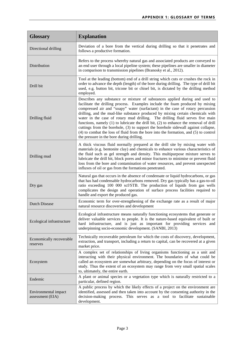| <b>Glossary</b>                          | <b>Explanation</b>                                                                                                                                                                                                                                                                                                                                                                                                                                                                                                                                                                                                                                                                                                                    |
|------------------------------------------|---------------------------------------------------------------------------------------------------------------------------------------------------------------------------------------------------------------------------------------------------------------------------------------------------------------------------------------------------------------------------------------------------------------------------------------------------------------------------------------------------------------------------------------------------------------------------------------------------------------------------------------------------------------------------------------------------------------------------------------|
| Directional drilling                     | Deviation of a bore from the vertical during drilling so that it penetrates and<br>follows a productive formation.                                                                                                                                                                                                                                                                                                                                                                                                                                                                                                                                                                                                                    |
| Distribution                             | Refers to the process whereby natural gas and associated products are conveyed to<br>an end user through a local pipeline system; these pipelines are smaller in diameter<br>in comparison to transmission pipelines (Branosky et al., 2012).                                                                                                                                                                                                                                                                                                                                                                                                                                                                                         |
| Drill bit                                | Tool at the leading (bottom) end of a drill string which cuts or crushes the rock in<br>order to advance the depth (length) of the bore during drilling. The type of drill bit<br>used, e.g. button bit, tricone bit or chisel bit, is dictated by the drilling method<br>employed.                                                                                                                                                                                                                                                                                                                                                                                                                                                   |
| Drilling fluid                           | Describes any substance or mixture of substances applied during and used to<br>facilitate the drilling process. Examples include the foam produced by mixing<br>compressed air and "soapy" water (surfactant) in the case of rotary percussion<br>drilling, and the mud-like substance produced by mixing certain chemicals with<br>water in the case of rotary mud drilling. The drilling fluid serves five main<br>functions, namely (1) to lubricate the drill bit, (2) to enhance the removal of drill<br>cuttings from the borehole, (3) to support the borehole sidewall against collapse,<br>(4) to combat the loss of fluid from the bore into the formation, and (5) to control<br>the pressure in the bore during drilling. |
| Drilling mud                             | A thick viscous fluid normally prepared at the drill site by mixing water with<br>materials (e.g. bentonite clay) and chemicals to enhance various characteristics of<br>the fluid such as gel strength and density. This multipurpose mixture serves to<br>lubricate the drill bit, block pores and minor fractures to minimise or prevent fluid<br>loss from the bore and contamination of water resources, and prevent unexpected<br>influxes of oil or gas from the formations penetrated.                                                                                                                                                                                                                                        |
| Dry gas                                  | Natural gas that occurs in the absence of condensate or liquid hydrocarbons, or gas<br>that has had condensable hydrocarbons removed. Dry gas typically has a gas-to-oil<br>ratio exceeding 100 000 scf/STB. The production of liquids from gas wells<br>complicates the design and operation of surface process facilities required to<br>handle and export the produced gas.                                                                                                                                                                                                                                                                                                                                                        |
| <b>Dutch Disease</b>                     | Economic term for over-strengthening of the exchange rate as a result of major<br>natural resource discoveries and development                                                                                                                                                                                                                                                                                                                                                                                                                                                                                                                                                                                                        |
| Ecological infrastructure                | Ecological infrastructure means naturally functioning ecosystems that generate or<br>deliver valuable services to people. It is the nature-based equivalent of built or<br>hard infrastructure, and is just as important for providing services and<br>underpinning socio-economic development. (SANBI, 2013)                                                                                                                                                                                                                                                                                                                                                                                                                         |
| Economically recoverable<br>reserves     | Technically recoverable petroleum for which the costs of discovery, development,<br>extraction, and transport, including a return to capital, can be recovered at a given<br>market price.                                                                                                                                                                                                                                                                                                                                                                                                                                                                                                                                            |
| Ecosystem                                | A complex set of relationships of living organisms functioning as a unit and<br>interacting with their physical environment. The boundaries of what could be<br>called an ecosystem are somewhat arbitrary, depending on the focus of interest or<br>study. Thus the extent of an ecosystem may range from very small spatial scales<br>to, ultimately, the entire earth.                                                                                                                                                                                                                                                                                                                                                             |
| Endemic                                  | A plant or animal species or a vegetation type which is naturally restricted to a<br>particular, defined region.                                                                                                                                                                                                                                                                                                                                                                                                                                                                                                                                                                                                                      |
| Environmental impact<br>assessment (EIA) | A public process by which the likely effects of a project on the environment are<br>identified, assessed and then taken into account by the consenting authority in the<br>decision-making process. This serves as a tool to facilitate sustainable<br>development.                                                                                                                                                                                                                                                                                                                                                                                                                                                                   |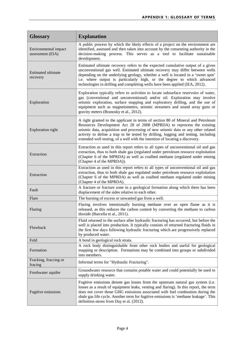| <b>Glossary</b>                          | <b>Explanation</b>                                                                                                                                                                                                                                                                                                                                                                                                    |
|------------------------------------------|-----------------------------------------------------------------------------------------------------------------------------------------------------------------------------------------------------------------------------------------------------------------------------------------------------------------------------------------------------------------------------------------------------------------------|
| Environmental impact<br>assessment (EIA) | A public process by which the likely effects of a project on the environment are<br>identified, assessed and then taken into account by the consenting authority in the<br>decision-making process. This serves as a tool to facilitate sustainable<br>development.                                                                                                                                                   |
| <b>Estimated ultimate</b><br>recovery    | Estimated ultimate recovery refers to the expected cumulative output of a given<br>unconventional gas well. Estimated ultimate recovery may differ between wells<br>depending on the underlying geology, whether a well is located in a 'sweet spot'<br>i.e. where output is particularly high, or the degree to which advanced<br>technologies in drilling and completing wells have been applied (IEA, 2012).       |
| Exploration                              | Exploration typically refers to activities to locate subsurface reservoirs of water,<br>gas (conventional and unconventional) and/or oil. Exploration may involve<br>seismic exploration, surface mapping and exploratory drilling, and the use of<br>equipment such as magnetometers, seismic streamers and sound array guns or<br>gravity meters (Branosky et al., 2012).                                           |
| <b>Exploration right</b>                 | A right granted to the applicant in terms of section 80 of Mineral and Petroleum<br>Resources Development Act 28 of 2008 (MPRDA) to reprocess the existing<br>seismic data, acquisition and processing of new seismic data or any other related<br>activity to define a trap to be tested by drilling, logging and testing, including<br>extended well testing, of a well with the intention of locating a discovery. |
| Extraction                               | Extraction as used in this report refers to all types of unconventional oil and gas<br>extraction, thus to both shale gas (regulated under petroleum resource exploitation<br>(Chapter 6 of the MPRDA) as well as coalbed methane (regulated under mining<br>(Chapter 4 of the MPRDA)).                                                                                                                               |
| Extraction                               | Extraction as used in this report refers to all types of unconventional oil and gas<br>extraction, thus to both shale gas regulated under petroleum resource exploitation<br>(Chapter 6 of the MPRDA) as well as coalbed methane regulated under mining<br>(Chapter 4 of the MPRDA).                                                                                                                                  |
| Fault                                    | A fracture or fracture zone in a geological formation along which there has been<br>displacement of the sides relative to each other.                                                                                                                                                                                                                                                                                 |
| Flare                                    | The burning of excess or unwanted gas from a well.                                                                                                                                                                                                                                                                                                                                                                    |
| Flaring                                  | Flaring involves intentionally burning methane over an open flame as it is<br>released, as this reduces the carbon content by converting the methane to carbon<br>dioxide (Barcella et al., 2011).                                                                                                                                                                                                                    |
| Flowback                                 | Fluid returned to the surface after hydraulic fracturing has occurred, but before the<br>well is placed into production. It typically consists of returned fracturing fluids in<br>the first few days following hydraulic fracturing which are progressively replaced<br>by produced water.                                                                                                                           |
| Fold                                     | A bend in geological rock strata.                                                                                                                                                                                                                                                                                                                                                                                     |
| Formation                                | A rock body distinguishable from other rock bodies and useful for geological<br>mapping or description. Formations may be combined into groups or subdivided<br>into members.                                                                                                                                                                                                                                         |
| Fracking, fraccing or<br>fracing         | Informal terms for "Hydraulic Fracturing".                                                                                                                                                                                                                                                                                                                                                                            |
| Freshwater aquifer                       | Groundwater resource that contains potable water and could potentially be used to<br>supply drinking water.                                                                                                                                                                                                                                                                                                           |
| Fugitive emissions                       | Fugitive emissions denote gas losses from the upstream natural gas system (i.e.<br>losses as a result of equipment leaks, venting and flaring). In this report, the term<br>does not cover those GHG emissions associated with fuel combustion during the<br>shale gas life cycle. Another term for fugitive emissions is 'methane leakage'. This<br>definition stems from Day et al. (2012).                         |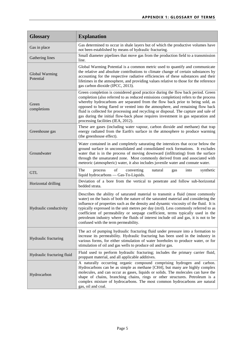| <b>Glossary</b>             | <b>Explanation</b>                                                                                                                                                                                                                                                                                                                                                                                                                                                                                                                                                       |
|-----------------------------|--------------------------------------------------------------------------------------------------------------------------------------------------------------------------------------------------------------------------------------------------------------------------------------------------------------------------------------------------------------------------------------------------------------------------------------------------------------------------------------------------------------------------------------------------------------------------|
| Gas in place                | Gas determined to occur in shale layers but of which the productive volumes have<br>not been established by means of hydraulic fracturing.                                                                                                                                                                                                                                                                                                                                                                                                                               |
| Gathering lines             | Small diameter pipelines that move gas from the production field to a transmission<br>line.                                                                                                                                                                                                                                                                                                                                                                                                                                                                              |
| Global Warming<br>Potential | Global Warming Potential is a common metric used to quantify and communicate<br>the relative and absolute contributions to climate change of certain substances by<br>accounting for the respective radiative efficiencies of these substances and their<br>lifetimes in the atmosphere, and providing values relative to those for the reference<br>gas carbon dioxide (IPCC, 2013).                                                                                                                                                                                    |
| Green<br>completions        | Green completion is considered good practice during the flow back period. Green<br>completion (also referred to as reduced emissions completion) refers to the process<br>whereby hydrocarbons are separated from the flow back prior to being sold, as<br>opposed to being flared or vented into the atmosphere, and remaining flow back<br>fluid is collected for processing and recycling or disposal. The capture and sale of<br>gas during the initial flow-back phase requires investment in gas separation and<br>processing facilities (IEA, 2012).              |
| Greenhouse gas              | These are gases (including water vapour, carbon dioxide and methane) that trap<br>energy radiated from the Earth's surface in the atmosphere to produce warming<br>(the greenhouse effect).                                                                                                                                                                                                                                                                                                                                                                              |
| Groundwater                 | Water contained in and completely saturating the interstices that occur below the<br>ground surface in unconsolidated and consolidated rock formations. It excludes<br>water that is in the process of moving downward (infiltrating) from the surface<br>through the unsaturated zone. Most commonly derived from and associated with<br>meteoric (atmospheric) water, it also includes juvenile water and connate water.                                                                                                                                               |
| <b>GTL</b>                  | The<br>of<br>converting<br>natural<br>synthetic<br>process<br>into<br>gas<br>liquid hydrocarbons — Gas-To-Liquids.                                                                                                                                                                                                                                                                                                                                                                                                                                                       |
| Horizontal drilling         | Deviation of a bore from the vertical to penetrate and follow sub-horizontal<br>bedded strata.                                                                                                                                                                                                                                                                                                                                                                                                                                                                           |
| Hydraulic conductivity      | Describes the ability of saturated material to transmit a fluid (most commonly<br>water) on the basis of both the nature of the saturated material and considering the<br>influence of properties such as the density and dynamic viscosity of the fluid. It is<br>typically expressed in the unit metres per day (m/d). Less commonly referred to as<br>coefficient of permeability or seepage coefficient, terms typically used in the<br>petroleum industry where the fluids of interest include oil and gas, it is not to be<br>confused with the term permeability. |
| Hydraulic fracturing        | The act of pumping hydraulic fracturing fluid under pressure into a formation to<br>increase its permeability. Hydraulic fracturing has been used in the industry in<br>various forms, for either stimulation of water boreholes to produce water, or for<br>stimulation of oil and gas wells to produce oil and/or gas.                                                                                                                                                                                                                                                 |
| Hydraulic fracturing fluid  | Fluid used to perform hydraulic fracturing; includes the primary carrier fluid,<br>proppant material, and all applicable additives.                                                                                                                                                                                                                                                                                                                                                                                                                                      |
| Hydrocarbon                 | A naturally occurring organic compound comprising hydrogen and carbon.<br>Hydrocarbons can be as simple as methane [CH4], but many are highly complex<br>molecules, and can occur as gases, liquids or solids. The molecules can have the<br>shape of chains, branching chains, rings or other structures. Petroleum is a<br>complex mixture of hydrocarbons. The most common hydrocarbons are natural<br>gas, oil and coal.                                                                                                                                             |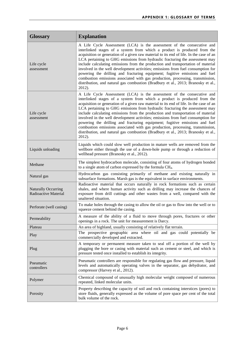| <b>Glossary</b>                                    | <b>Explanation</b>                                                                                                                                                                                                                                                                                                                                                                                                                                                                                                                                                                                                                                                                                                                                                    |
|----------------------------------------------------|-----------------------------------------------------------------------------------------------------------------------------------------------------------------------------------------------------------------------------------------------------------------------------------------------------------------------------------------------------------------------------------------------------------------------------------------------------------------------------------------------------------------------------------------------------------------------------------------------------------------------------------------------------------------------------------------------------------------------------------------------------------------------|
| Life cycle<br>assessment                           | A Life Cycle Assessment (LCA) is the assessment of the consecutive and<br>interlinked stages of a system from which a product is produced from the<br>acquisition or generation of a given raw material to its end of life. In the case of an<br>LCA pertaining to GHG emissions from hydraulic fracturing the assessment may<br>include calculating emissions from the production and transportation of material<br>involved in the well development activities; emissions from fuel consumption for<br>powering the drilling and fracturing equipment; fugitive emissions and fuel<br>combustion emissions associated with gas production, processing, transmission,<br>distribution, and natural gas combustion (Bradbury et al., 2013; Branosky et al.,<br>2012). |
| Life cycle<br>assessment                           | A Life Cycle Assessment (LCA) is the assessment of the consecutive and<br>interlinked stages of a system from which a product is produced from the<br>acquisition or generation of a given raw material to its end of life. In the case of an<br>LCA pertaining to GHG emissions from hydraulic fracturing the assessment may<br>include calculating emissions from the production and transportation of material<br>involved in the well development activities; emissions from fuel consumption for<br>powering the drilling and fracturing equipment; fugitive emissions and fuel<br>combustion emissions associated with gas production, processing, transmission,<br>distribution, and natural gas combustion (Bradbury et al., 2013; Branosky et al.,<br>2012). |
| Liquids unloading                                  | Liquids which could slow well production in mature wells are removed from the<br>wellbore either through the use of a down-hole pump or through a reduction of<br>wellhead pressure (Branosky et al., 2012).                                                                                                                                                                                                                                                                                                                                                                                                                                                                                                                                                          |
| Methane                                            | The simplest hydrocarbon molecule, consisting of four atoms of hydrogen bonded<br>to a single atom of carbon expressed by the formula CH <sub>4</sub> .                                                                                                                                                                                                                                                                                                                                                                                                                                                                                                                                                                                                               |
| Natural gas                                        | Hydrocarbon gas consisting primarily of methane and existing naturally in<br>subsurface formations. Marsh gas is the equivalent in surface environments.                                                                                                                                                                                                                                                                                                                                                                                                                                                                                                                                                                                                              |
| <b>Naturally Occurring</b><br>Radioactive Material | Radioactive material that occurs naturally in rock formations such as certain<br>shales, and where human activity such as drilling may increase the chances of<br>exposure from drill cuttings and other wastes from a well, compared with the<br>unaltered situation.                                                                                                                                                                                                                                                                                                                                                                                                                                                                                                |
| Perforate (well casing)                            | To make holes through the casing to allow the oil or gas to flow into the well or to<br>squeeze cement behind the casing.                                                                                                                                                                                                                                                                                                                                                                                                                                                                                                                                                                                                                                             |
| Permeability                                       | A measure of the ability of a fluid to move through pores, fractures or other<br>openings in a rock. The unit for measurement is Darcy.                                                                                                                                                                                                                                                                                                                                                                                                                                                                                                                                                                                                                               |
| Plateau                                            | An area of highland, usually consisting of relatively flat terrain.                                                                                                                                                                                                                                                                                                                                                                                                                                                                                                                                                                                                                                                                                                   |
| Play                                               | The prospective geographic area where oil and gas could potentially be<br>commercially developed and extracted.                                                                                                                                                                                                                                                                                                                                                                                                                                                                                                                                                                                                                                                       |
| Plug                                               | A temporary or permanent measure taken to seal off a portion of the well by<br>plugging the bore or casing with material such as cement or steel, and which is<br>pressure tested once installed to establish its integrity.                                                                                                                                                                                                                                                                                                                                                                                                                                                                                                                                          |
| Pneumatic<br>controllers                           | Pneumatic controllers are responsible for regulating gas flow and pressure, liquid<br>levels and automatically operating valves in the separator, gas dehydrator, and<br>compressor (Harvey et al., 2012).                                                                                                                                                                                                                                                                                                                                                                                                                                                                                                                                                            |
| Polymer                                            | Chemical compound of unusually high molecular weight composed of numerous<br>repeated, linked molecular units.                                                                                                                                                                                                                                                                                                                                                                                                                                                                                                                                                                                                                                                        |
| Porosity                                           | Property describing the capacity of soil and rock containing interstices (pores) to<br>store fluids, generally expressed as the volume of pore space per cent of the total<br>bulk volume of the rock.                                                                                                                                                                                                                                                                                                                                                                                                                                                                                                                                                                |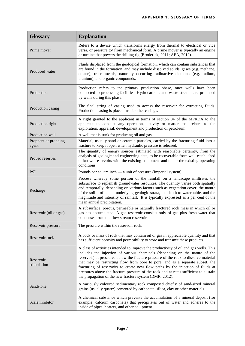| <b>Glossary</b>               | <b>Explanation</b>                                                                                                                                                                                                                                                                                                                                                                                                                                                                                                                                                                  |
|-------------------------------|-------------------------------------------------------------------------------------------------------------------------------------------------------------------------------------------------------------------------------------------------------------------------------------------------------------------------------------------------------------------------------------------------------------------------------------------------------------------------------------------------------------------------------------------------------------------------------------|
| Prime mover                   | Refers to a device which transforms energy from thermal to electrical or vice<br>versa, or pressure to/ from mechanical form. A prime mover is typically an engine<br>or turbine that powers the drilling rig (Broderick, 2011; AEA, 2012).                                                                                                                                                                                                                                                                                                                                         |
| Produced water                | Fluids displaced from the geological formation, which can contain substances that<br>are found in the formation, and may include dissolved solids, gases (e.g. methane,<br>ethane), trace metals, naturally occurring radioactive elements (e.g. radium,<br>uranium), and organic compounds.                                                                                                                                                                                                                                                                                        |
| Production                    | Production refers to the primary production phase, once wells have been<br>connected to processing facilities. Hydrocarbons and waste streams are produced<br>by wells during this phase.                                                                                                                                                                                                                                                                                                                                                                                           |
| Production casing             | The final string of casing used to access the reservoir for extracting fluids.<br>Production casing is placed inside other casings.                                                                                                                                                                                                                                                                                                                                                                                                                                                 |
| Production right              | A right granted to the applicant in terms of section 84 of the MPRDA to the<br>applicant to conduct any operation, activity or matter that relates to the<br>exploration, appraisal, development and production of petroleum.                                                                                                                                                                                                                                                                                                                                                       |
| Production well               | A well that is sunk for producing oil and gas.                                                                                                                                                                                                                                                                                                                                                                                                                                                                                                                                      |
| Proppant or propping<br>agent | Material, usually sand or ceramic particles, carried by the fracturing fluid into a<br>fracture to keep it open when hydraulic pressure is released.                                                                                                                                                                                                                                                                                                                                                                                                                                |
| Proved reserves               | The quantity of energy sources estimated with reasonable certainty, from the<br>analysis of geologic and engineering data, to be recoverable from well-established<br>or known reservoirs with the existing equipment and under the existing operating<br>conditions.                                                                                                                                                                                                                                                                                                               |
| <b>PSI</b>                    | Pounds per square inch — a unit of pressure (Imperial system).                                                                                                                                                                                                                                                                                                                                                                                                                                                                                                                      |
| Recharge                      | Process whereby some portion of the rainfall on a landscape infiltrates the<br>subsurface to replenish groundwater resources. The quantity varies both spatially<br>and temporally, depending on various factors such as vegetation cover, the nature<br>of the soil profile and underlying geologic strata, the depth to water table, and the<br>magnitude and intensity of rainfall. It is typically expressed as a per cent of the<br>mean annual precipitation.                                                                                                                 |
| Reservoir (oil or gas)        | A subsurface, porous, permeable or naturally fractured rock mass in which oil or<br>gas has accumulated. A gas reservoir consists only of gas plus fresh water that<br>condenses from the flow stream reservoir.                                                                                                                                                                                                                                                                                                                                                                    |
| Reservoir pressure            | The pressure within the reservoir rock.                                                                                                                                                                                                                                                                                                                                                                                                                                                                                                                                             |
| Reservoir rock                | A body or mass of rock that may contain oil or gas in appreciable quantity and that<br>has sufficient porosity and permeability to store and transmit these products.                                                                                                                                                                                                                                                                                                                                                                                                               |
| Reservoir<br>stimulation      | A class of activities intended to improve the productivity of oil and gas wells. This<br>includes the injection of various chemicals (depending on the nature of the<br>reservoir) at pressures below the fracture pressure of the rock to dissolve material<br>that may be restricting flow from pore to pore, and as a separate subset, the<br>fracturing of reservoirs to create new flow paths by the injection of fluids at<br>pressures above the fracture pressure of the rock and at rates sufficient to sustain<br>the propagation of the new fracture system (DMR, 2012). |
| Sandstone                     | A variously coloured sedimentary rock composed chiefly of sand-sized mineral<br>grains (usually quartz) cemented by carbonate, silica, clay or other materials.                                                                                                                                                                                                                                                                                                                                                                                                                     |
| Scale inhibitor               | A chemical substance which prevents the accumulation of a mineral deposit (for<br>example, calcium carbonate) that precipitates out of water and adheres to the<br>inside of pipes, heaters, and other equipment.                                                                                                                                                                                                                                                                                                                                                                   |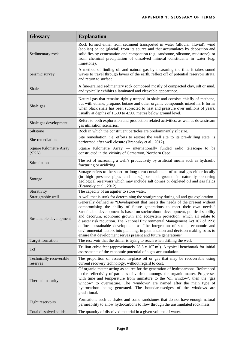| <b>Glossary</b>                     | <b>Explanation</b>                                                                                                                                                                                                                                                                                                                                                                                                                                                                                                                                                                                                                                    |
|-------------------------------------|-------------------------------------------------------------------------------------------------------------------------------------------------------------------------------------------------------------------------------------------------------------------------------------------------------------------------------------------------------------------------------------------------------------------------------------------------------------------------------------------------------------------------------------------------------------------------------------------------------------------------------------------------------|
| Sedimentary rock                    | Rock formed either from sediment transported in water (alluvial, fluvial), wind<br>(aeolian) or ice (glacial) from its source and that accumulates by deposition and<br>solidifies by cementation and compaction (e.g. sandstone, siltstone, mudstone), or<br>from chemical precipitation of dissolved mineral constituents in water (e.g.<br>limestone).                                                                                                                                                                                                                                                                                             |
| Seismic survey                      | A method of finding oil and natural gas by measuring the time it takes sound<br>waves to travel through layers of the earth, reflect off of potential reservoir strata,<br>and return to surface.                                                                                                                                                                                                                                                                                                                                                                                                                                                     |
| Shale                               | A fine-grained sedimentary rock composed mostly of compacted clay, silt or mud,<br>and typically exhibits a laminated and cleavable appearance.                                                                                                                                                                                                                                                                                                                                                                                                                                                                                                       |
| Shale gas                           | Natural gas that remains tightly trapped in shale and consists chiefly of methane,<br>but with ethane, propane, butane and other organic compounds mixed in. It forms<br>when black shale has been subjected to heat and pressure over millions of years,<br>usually at depths of 1,500 to 4,500 metres below ground level.                                                                                                                                                                                                                                                                                                                           |
| Shale gas development               | Refers to both exploration and production related activities; as well as downstream<br>gas utilisation scenarios.                                                                                                                                                                                                                                                                                                                                                                                                                                                                                                                                     |
| Siltstone                           | Rock in which the constituent particles are predominantly silt size.                                                                                                                                                                                                                                                                                                                                                                                                                                                                                                                                                                                  |
| Site remediation                    | Site remediation, i.e. efforts to restore the well site to its pre-drilling state, is<br>performed after well closure (Branosky et al., 2012).                                                                                                                                                                                                                                                                                                                                                                                                                                                                                                        |
| Square Kilometre Array<br>(SKA)     | Square Kilometre Array — internationally funded radio telescope to be<br>constructed in the vicinity of Carnarvon, Northern Cape.                                                                                                                                                                                                                                                                                                                                                                                                                                                                                                                     |
| Stimulation                         | The act of increasing a well's productivity by artificial means such as hydraulic<br>fracturing or acidizing.                                                                                                                                                                                                                                                                                                                                                                                                                                                                                                                                         |
| Storage                             | Storage refers to the short- or long-term containment of natural gas either locally<br>(in high pressure pipes and tanks), or underground in naturally occurring<br>geological reservoirs which may include salt domes or depleted oil and gas fields<br>(Branosky et al., 2012).                                                                                                                                                                                                                                                                                                                                                                     |
| Storativity                         | The capacity of an aquifer to store water.                                                                                                                                                                                                                                                                                                                                                                                                                                                                                                                                                                                                            |
| Stratigraphic well                  | A well that is sunk for determining the stratigraphy during oil and gas exploration.                                                                                                                                                                                                                                                                                                                                                                                                                                                                                                                                                                  |
| Sustainable development             | Generally defined as "Development that meets the needs of the present without<br>compromising the ability of future generations to meet their own needs."<br>Sustainable development is based on sociocultural development, political stability<br>and decorum, economic growth and ecosystem protection, which all relate to<br>disaster risk reduction. The National Environmental Management Act 107 of 1998<br>defines sustainable development as "the integration of social, economic and<br>environmental factors into planning, implementation and decision-making so as to<br>ensure that development serves present and future generations". |
| <b>Target formation</b>             | The reservoir that the driller is trying to reach when drilling the well.                                                                                                                                                                                                                                                                                                                                                                                                                                                                                                                                                                             |
| Tcf                                 | Trillion cubic feet (approximately 28.3 x $10^9$ m <sup>3</sup> ). A typical benchmark for initial<br>assessments of the economic potential of a gas accumulation.                                                                                                                                                                                                                                                                                                                                                                                                                                                                                    |
| Technically recoverable<br>reserves | The proportion of assessed in-place oil or gas that may be recoverable using<br>current recovery technology, without regard to cost.                                                                                                                                                                                                                                                                                                                                                                                                                                                                                                                  |
| Thermal maturity                    | Of organic matter acting as source for the generation of hydrocarbons. Referenced<br>to the reflectivity of particles of vitrinite amongst the organic matter. Progresses<br>with time and temperature from immature to the 'oil window', then the 'gas<br>window' to overmature. The 'windows' are named after the main type of<br>hydrocarbon being generated. The boundaries/edges of the windows are<br>gradational.                                                                                                                                                                                                                              |
| Tight reservoirs                    | Formations such as shales and some sandstones that do not have enough natural<br>permeability to allow hydrocarbons to flow through the unstimulated rock mass.                                                                                                                                                                                                                                                                                                                                                                                                                                                                                       |
| Total dissolved solids              | The quantity of dissolved material in a given volume of water.                                                                                                                                                                                                                                                                                                                                                                                                                                                                                                                                                                                        |